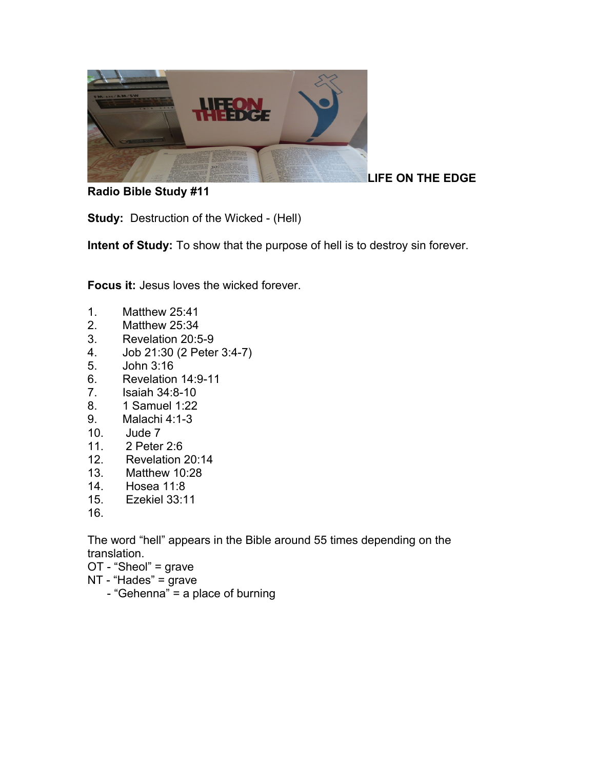

**Radio Bible Study #11**

**LIFE ON THE EDGE** 

**Study:** Destruction of the Wicked - (Hell)

**Intent of Study:** To show that the purpose of hell is to destroy sin forever.

**Focus it:** Jesus loves the wicked forever.

- 1. Matthew 25:41
- 2. Matthew 25:34
- 3. Revelation 20:5-9
- 4. Job 21:30 (2 Peter 3:4-7)
- 5. John 3:16
- 6. Revelation 14:9-11
- 7. Isaiah 34:8-10
- 8. 1 Samuel 1:22
- 9. Malachi 4:1-3
- 10. Jude 7
- 11. 2 Peter 2:6
- 12. Revelation 20:14
- 13. Matthew 10:28
- 14. Hosea 11:8
- 15. Ezekiel 33:11
- 16.

The word "hell" appears in the Bible around 55 times depending on the translation.

- OT "Sheol" = grave
- NT "Hades" = grave
	- "Gehenna" = a place of burning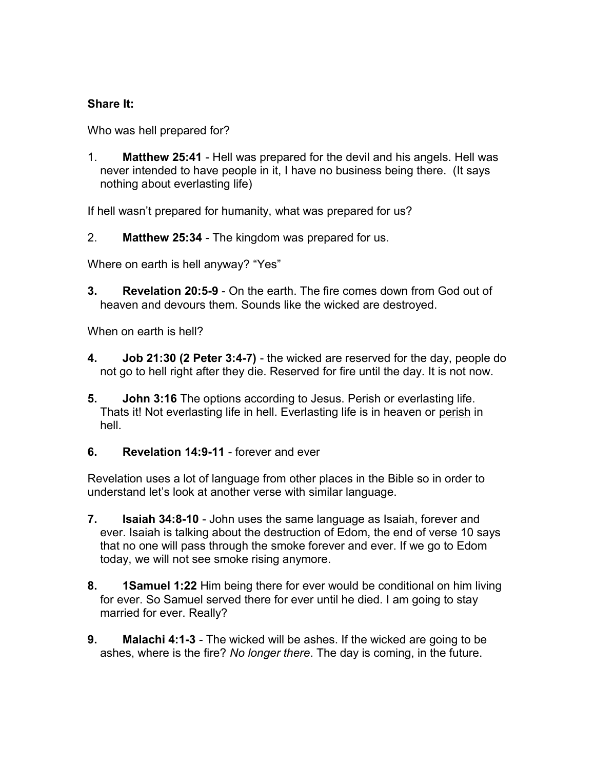## **Share It:**

Who was hell prepared for?

1. **Matthew 25:41** - Hell was prepared for the devil and his angels. Hell was never intended to have people in it, I have no business being there. (It says nothing about everlasting life)

If hell wasn't prepared for humanity, what was prepared for us?

2. **Matthew 25:34** - The kingdom was prepared for us.

Where on earth is hell anyway? "Yes"

**3. Revelation 20:5-9** - On the earth. The fire comes down from God out of heaven and devours them. Sounds like the wicked are destroyed.

When on earth is hell?

- **4. Job 21:30 (2 Peter 3:4-7)** the wicked are reserved for the day, people do not go to hell right after they die. Reserved for fire until the day. It is not now.
- **5. John 3:16** The options according to Jesus. Perish or everlasting life. Thats it! Not everlasting life in hell. Everlasting life is in heaven or perish in hell.
- **6. Revelation 14:9-11** forever and ever

Revelation uses a lot of language from other places in the Bible so in order to understand let's look at another verse with similar language.

- **7. Isaiah 34:8-10** John uses the same language as Isaiah, forever and ever. Isaiah is talking about the destruction of Edom, the end of verse 10 says that no one will pass through the smoke forever and ever. If we go to Edom today, we will not see smoke rising anymore.
- **8. 1Samuel 1:22** Him being there for ever would be conditional on him living for ever. So Samuel served there for ever until he died. I am going to stay married for ever. Really?
- **9. Malachi 4:1-3** The wicked will be ashes. If the wicked are going to be ashes, where is the fire? *No longer there*. The day is coming, in the future.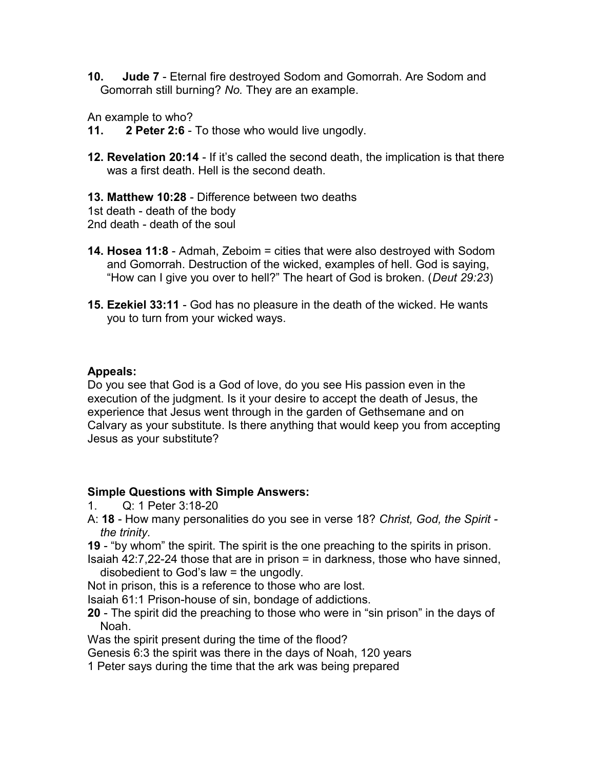**10. Jude 7** - Eternal fire destroyed Sodom and Gomorrah. Are Sodom and Gomorrah still burning? *No.* They are an example.

An example to who?

**11. 2 Peter 2:6** - To those who would live ungodly.

**12. Revelation 20:14** - If it's called the second death, the implication is that there was a first death. Hell is the second death.

**13. Matthew 10:28** - Difference between two deaths 1st death - death of the body 2nd death - death of the soul

- **14. Hosea 11:8**  Admah, Zeboim = cities that were also destroyed with Sodom and Gomorrah. Destruction of the wicked, examples of hell. God is saying, "How can I give you over to hell?" The heart of God is broken. (*Deut 29:23*)
- **15. Ezekiel 33:11** God has no pleasure in the death of the wicked. He wants you to turn from your wicked ways.

## **Appeals:**

Do you see that God is a God of love, do you see His passion even in the execution of the judgment. Is it your desire to accept the death of Jesus, the experience that Jesus went through in the garden of Gethsemane and on Calvary as your substitute. Is there anything that would keep you from accepting Jesus as your substitute?

## **Simple Questions with Simple Answers:**

- 1. Q: 1 Peter 3:18-20
- A: **18** How many personalities do you see in verse 18? *Christ, God, the Spirit the trinity.*
- **19** "by whom" the spirit. The spirit is the one preaching to the spirits in prison.
- Isaiah 42:7,22-24 those that are in prison = in darkness, those who have sinned, disobedient to God's law = the ungodly.
- Not in prison, this is a reference to those who are lost.
- Isaiah 61:1 Prison-house of sin, bondage of addictions.
- **20**  The spirit did the preaching to those who were in "sin prison" in the days of Noah.
- Was the spirit present during the time of the flood?
- Genesis 6:3 the spirit was there in the days of Noah, 120 years
- 1 Peter says during the time that the ark was being prepared